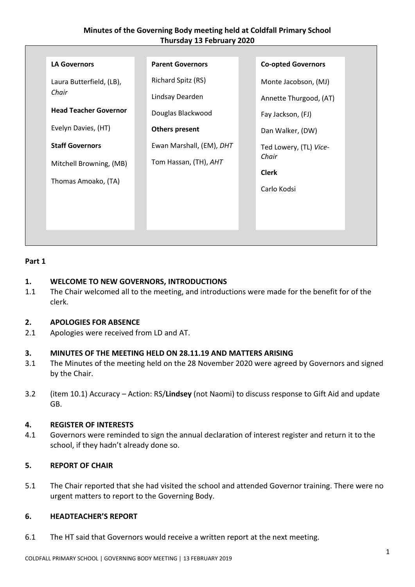# **Minutes of the Governing Body meeting held at Coldfall Primary School Thursday 13 February 2020**

| <b>LA Governors</b>               | <b>Parent Governors</b>  | <b>Co-opted Governors</b> |
|-----------------------------------|--------------------------|---------------------------|
| Laura Butterfield, (LB),<br>Chair | Richard Spitz (RS)       | Monte Jacobson, (MJ)      |
|                                   | Lindsay Dearden          | Annette Thurgood, (AT)    |
| <b>Head Teacher Governor</b>      | Douglas Blackwood        | Fay Jackson, (FJ)         |
| Evelyn Davies, (HT)               | <b>Others present</b>    | Dan Walker, (DW)          |
| <b>Staff Governors</b>            | Ewan Marshall, (EM), DHT | Ted Lowery, (TL) Vice-    |
| Mitchell Browning, (MB)           | Tom Hassan, (TH), AHT    | Chair                     |
| Thomas Amoako, (TA)               |                          | <b>Clerk</b>              |
|                                   |                          | Carlo Kodsi               |
|                                   |                          |                           |
|                                   |                          |                           |
|                                   |                          |                           |

## **Part 1**

# **1. WELCOME TO NEW GOVERNORS, INTRODUCTIONS**

1.1 The Chair welcomed all to the meeting, and introductions were made for the benefit for of the clerk.

# **2. APOLOGIES FOR ABSENCE**

2.1 Apologies were received from LD and AT.

### **3. MINUTES OF THE MEETING HELD ON 28.11.19 AND MATTERS ARISING**

- 3.1 The Minutes of the meeting held on the 28 November 2020 were agreed by Governors and signed by the Chair.
- 3.2 (item 10.1) Accuracy Action: RS/**Lindsey** (not Naomi) to discuss response to Gift Aid and update GB.

### **4. REGISTER OF INTERESTS**

4.1 Governors were reminded to sign the annual declaration of interest register and return it to the school, if they hadn't already done so.

## **5. REPORT OF CHAIR**

5.1 The Chair reported that she had visited the school and attended Governor training. There were no urgent matters to report to the Governing Body.

### **6. HEADTEACHER'S REPORT**

6.1 The HT said that Governors would receive a written report at the next meeting.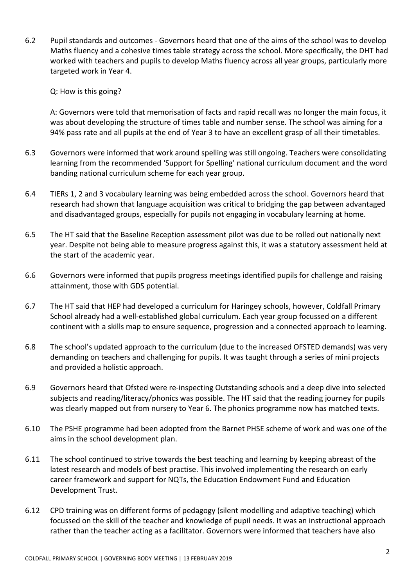6.2 Pupil standards and outcomes - Governors heard that one of the aims of the school was to develop Maths fluency and a cohesive times table strategy across the school. More specifically, the DHT had worked with teachers and pupils to develop Maths fluency across all year groups, particularly more targeted work in Year 4.

Q: How is this going?

A: Governors were told that memorisation of facts and rapid recall was no longer the main focus, it was about developing the structure of times table and number sense. The school was aiming for a 94% pass rate and all pupils at the end of Year 3 to have an excellent grasp of all their timetables.

- 6.3 Governors were informed that work around spelling was still ongoing. Teachers were consolidating learning from the recommended 'Support for Spelling' national curriculum document and the word banding national curriculum scheme for each year group.
- 6.4 TIERs 1, 2 and 3 vocabulary learning was being embedded across the school. Governors heard that research had shown that language acquisition was critical to bridging the gap between advantaged and disadvantaged groups, especially for pupils not engaging in vocabulary learning at home.
- 6.5 The HT said that the Baseline Reception assessment pilot was due to be rolled out nationally next year. Despite not being able to measure progress against this, it was a statutory assessment held at the start of the academic year.
- 6.6 Governors were informed that pupils progress meetings identified pupils for challenge and raising attainment, those with GDS potential.
- 6.7 The HT said that HEP had developed a curriculum for Haringey schools, however, Coldfall Primary School already had a well-established global curriculum. Each year group focussed on a different continent with a skills map to ensure sequence, progression and a connected approach to learning.
- 6.8 The school's updated approach to the curriculum (due to the increased OFSTED demands) was very demanding on teachers and challenging for pupils. It was taught through a series of mini projects and provided a holistic approach.
- 6.9 Governors heard that Ofsted were re-inspecting Outstanding schools and a deep dive into selected subjects and reading/literacy/phonics was possible. The HT said that the reading journey for pupils was clearly mapped out from nursery to Year 6. The phonics programme now has matched texts.
- 6.10 The PSHE programme had been adopted from the Barnet PHSE scheme of work and was one of the aims in the school development plan.
- 6.11 The school continued to strive towards the best teaching and learning by keeping abreast of the latest research and models of best practise. This involved implementing the research on early career framework and support for NQTs, the Education Endowment Fund and Education Development Trust.
- 6.12 CPD training was on different forms of pedagogy (silent modelling and adaptive teaching) which focussed on the skill of the teacher and knowledge of pupil needs. It was an instructional approach rather than the teacher acting as a facilitator. Governors were informed that teachers have also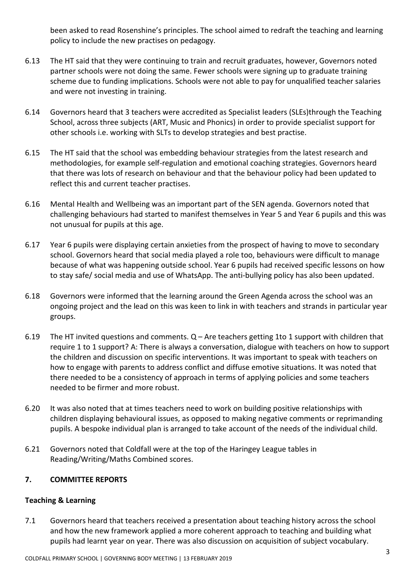been asked to read Rosenshine's principles. The school aimed to redraft the teaching and learning policy to include the new practises on pedagogy.

- 6.13 The HT said that they were continuing to train and recruit graduates, however, Governors noted partner schools were not doing the same. Fewer schools were signing up to graduate training scheme due to funding implications. Schools were not able to pay for unqualified teacher salaries and were not investing in training.
- 6.14 Governors heard that 3 teachers were accredited as Specialist leaders (SLEs)through the Teaching School, across three subjects (ART, Music and Phonics) in order to provide specialist support for other schools i.e. working with SLTs to develop strategies and best practise.
- 6.15 The HT said that the school was embedding behaviour strategies from the latest research and methodologies, for example self-regulation and emotional coaching strategies. Governors heard that there was lots of research on behaviour and that the behaviour policy had been updated to reflect this and current teacher practises.
- 6.16 Mental Health and Wellbeing was an important part of the SEN agenda. Governors noted that challenging behaviours had started to manifest themselves in Year 5 and Year 6 pupils and this was not unusual for pupils at this age.
- 6.17 Year 6 pupils were displaying certain anxieties from the prospect of having to move to secondary school. Governors heard that social media played a role too, behaviours were difficult to manage because of what was happening outside school. Year 6 pupils had received specific lessons on how to stay safe/ social media and use of WhatsApp. The anti-bullying policy has also been updated.
- 6.18 Governors were informed that the learning around the Green Agenda across the school was an ongoing project and the lead on this was keen to link in with teachers and strands in particular year groups.
- 6.19 The HT invited questions and comments. Q Are teachers getting 1to 1 support with children that require 1 to 1 support? A: There is always a conversation, dialogue with teachers on how to support the children and discussion on specific interventions. It was important to speak with teachers on how to engage with parents to address conflict and diffuse emotive situations. It was noted that there needed to be a consistency of approach in terms of applying policies and some teachers needed to be firmer and more robust.
- 6.20 It was also noted that at times teachers need to work on building positive relationships with children displaying behavioural issues, as opposed to making negative comments or reprimanding pupils. A bespoke individual plan is arranged to take account of the needs of the individual child.
- 6.21 Governors noted that Coldfall were at the top of the Haringey League tables in Reading/Writing/Maths Combined scores.

# **7. COMMITTEE REPORTS**

# **Teaching & Learning**

7.1 Governors heard that teachers received a presentation about teaching history across the school and how the new framework applied a more coherent approach to teaching and building what pupils had learnt year on year. There was also discussion on acquisition of subject vocabulary.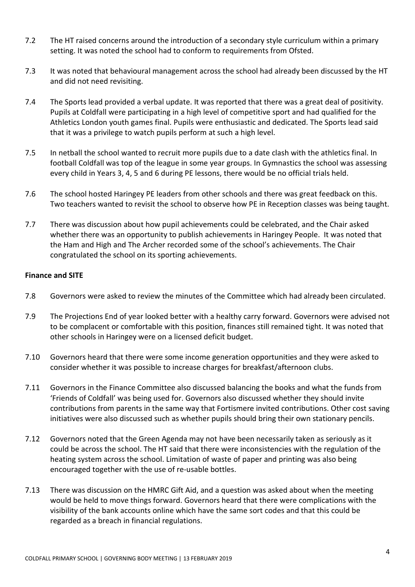- 7.2 The HT raised concerns around the introduction of a secondary style curriculum within a primary setting. It was noted the school had to conform to requirements from Ofsted.
- 7.3 It was noted that behavioural management across the school had already been discussed by the HT and did not need revisiting.
- 7.4 The Sports lead provided a verbal update. It was reported that there was a great deal of positivity. Pupils at Coldfall were participating in a high level of competitive sport and had qualified for the Athletics London youth games final. Pupils were enthusiastic and dedicated. The Sports lead said that it was a privilege to watch pupils perform at such a high level.
- 7.5 In netball the school wanted to recruit more pupils due to a date clash with the athletics final. In football Coldfall was top of the league in some year groups. In Gymnastics the school was assessing every child in Years 3, 4, 5 and 6 during PE lessons, there would be no official trials held.
- 7.6 The school hosted Haringey PE leaders from other schools and there was great feedback on this. Two teachers wanted to revisit the school to observe how PE in Reception classes was being taught.
- 7.7 There was discussion about how pupil achievements could be celebrated, and the Chair asked whether there was an opportunity to publish achievements in Haringey People. It was noted that the Ham and High and The Archer recorded some of the school's achievements. The Chair congratulated the school on its sporting achievements.

## **Finance and SITE**

- 7.8 Governors were asked to review the minutes of the Committee which had already been circulated.
- 7.9 The Projections End of year looked better with a healthy carry forward. Governors were advised not to be complacent or comfortable with this position, finances still remained tight. It was noted that other schools in Haringey were on a licensed deficit budget.
- 7.10 Governors heard that there were some income generation opportunities and they were asked to consider whether it was possible to increase charges for breakfast/afternoon clubs.
- 7.11 Governors in the Finance Committee also discussed balancing the books and what the funds from 'Friends of Coldfall' was being used for. Governors also discussed whether they should invite contributions from parents in the same way that Fortismere invited contributions. Other cost saving initiatives were also discussed such as whether pupils should bring their own stationary pencils.
- 7.12 Governors noted that the Green Agenda may not have been necessarily taken as seriously as it could be across the school. The HT said that there were inconsistencies with the regulation of the heating system across the school. Limitation of waste of paper and printing was also being encouraged together with the use of re-usable bottles.
- 7.13 There was discussion on the HMRC Gift Aid, and a question was asked about when the meeting would be held to move things forward. Governors heard that there were complications with the visibility of the bank accounts online which have the same sort codes and that this could be regarded as a breach in financial regulations.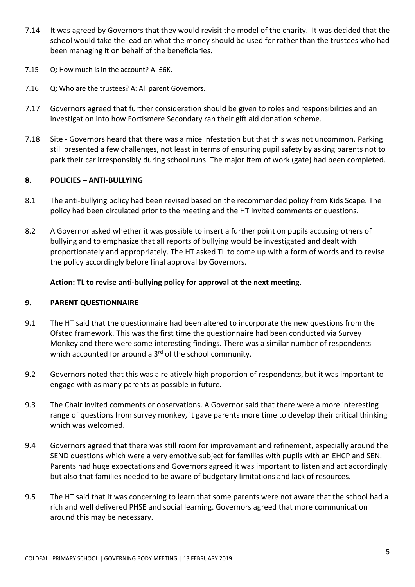- 7.14 It was agreed by Governors that they would revisit the model of the charity. It was decided that the school would take the lead on what the money should be used for rather than the trustees who had been managing it on behalf of the beneficiaries.
- 7.15 Q: How much is in the account? A: £6K.
- 7.16 Q: Who are the trustees? A: All parent Governors.
- 7.17 Governors agreed that further consideration should be given to roles and responsibilities and an investigation into how Fortismere Secondary ran their gift aid donation scheme.
- 7.18 Site Governors heard that there was a mice infestation but that this was not uncommon. Parking still presented a few challenges, not least in terms of ensuring pupil safety by asking parents not to park their car irresponsibly during school runs. The major item of work (gate) had been completed.

### **8. POLICIES – ANTI-BULLYING**

- 8.1 The anti-bullying policy had been revised based on the recommended policy from Kids Scape. The policy had been circulated prior to the meeting and the HT invited comments or questions.
- 8.2 A Governor asked whether it was possible to insert a further point on pupils accusing others of bullying and to emphasize that all reports of bullying would be investigated and dealt with proportionately and appropriately. The HT asked TL to come up with a form of words and to revise the policy accordingly before final approval by Governors.

## **Action: TL to revise anti-bullying policy for approval at the next meeting**.

### **9. PARENT QUESTIONNAIRE**

- 9.1 The HT said that the questionnaire had been altered to incorporate the new questions from the Ofsted framework. This was the first time the questionnaire had been conducted via Survey Monkey and there were some interesting findings. There was a similar number of respondents which accounted for around a 3<sup>rd</sup> of the school community.
- 9.2 Governors noted that this was a relatively high proportion of respondents, but it was important to engage with as many parents as possible in future.
- 9.3 The Chair invited comments or observations. A Governor said that there were a more interesting range of questions from survey monkey, it gave parents more time to develop their critical thinking which was welcomed.
- 9.4 Governors agreed that there was still room for improvement and refinement, especially around the SEND questions which were a very emotive subject for families with pupils with an EHCP and SEN. Parents had huge expectations and Governors agreed it was important to listen and act accordingly but also that families needed to be aware of budgetary limitations and lack of resources.
- 9.5 The HT said that it was concerning to learn that some parents were not aware that the school had a rich and well delivered PHSE and social learning. Governors agreed that more communication around this may be necessary.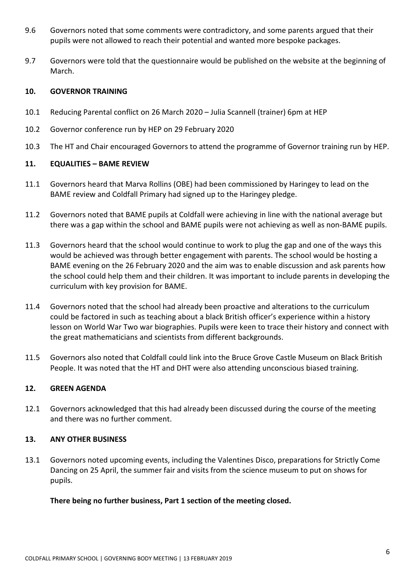- 9.6 Governors noted that some comments were contradictory, and some parents argued that their pupils were not allowed to reach their potential and wanted more bespoke packages.
- 9.7 Governors were told that the questionnaire would be published on the website at the beginning of March.

## **10. GOVERNOR TRAINING**

- 10.1 Reducing Parental conflict on 26 March 2020 Julia Scannell (trainer) 6pm at HEP
- 10.2 Governor conference run by HEP on 29 February 2020
- 10.3 The HT and Chair encouraged Governors to attend the programme of Governor training run by HEP.

## **11. EQUALITIES – BAME REVIEW**

- 11.1 Governors heard that Marva Rollins (OBE) had been commissioned by Haringey to lead on the BAME review and Coldfall Primary had signed up to the Haringey pledge.
- 11.2 Governors noted that BAME pupils at Coldfall were achieving in line with the national average but there was a gap within the school and BAME pupils were not achieving as well as non-BAME pupils.
- 11.3 Governors heard that the school would continue to work to plug the gap and one of the ways this would be achieved was through better engagement with parents. The school would be hosting a BAME evening on the 26 February 2020 and the aim was to enable discussion and ask parents how the school could help them and their children. It was important to include parents in developing the curriculum with key provision for BAME.
- 11.4 Governors noted that the school had already been proactive and alterations to the curriculum could be factored in such as teaching about a black British officer's experience within a history lesson on World War Two war biographies. Pupils were keen to trace their history and connect with the great mathematicians and scientists from different backgrounds.
- 11.5 Governors also noted that Coldfall could link into the Bruce Grove Castle Museum on Black British People. It was noted that the HT and DHT were also attending unconscious biased training.

# **12. GREEN AGENDA**

12.1 Governors acknowledged that this had already been discussed during the course of the meeting and there was no further comment.

### **13. ANY OTHER BUSINESS**

13.1 Governors noted upcoming events, including the Valentines Disco, preparations for Strictly Come Dancing on 25 April, the summer fair and visits from the science museum to put on shows for pupils.

### **There being no further business, Part 1 section of the meeting closed.**